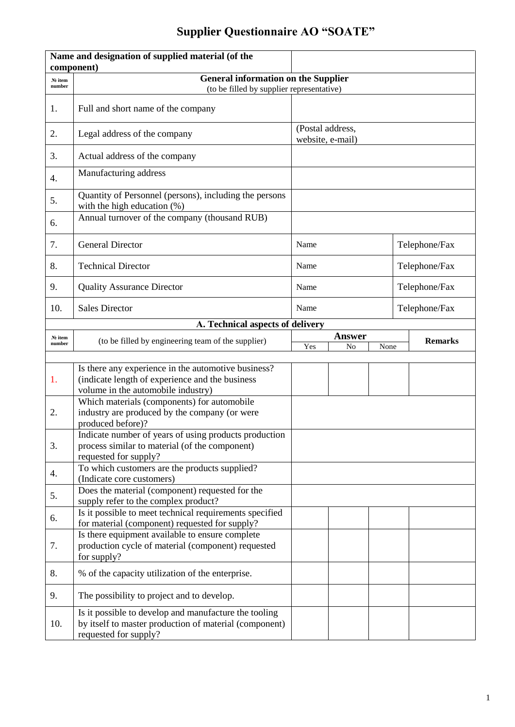## **Supplier Questionnaire AO "SOATE"**

|                   | Name and designation of supplied material (of the<br>component)                                                                          |                                      |        |  |               |                |  |
|-------------------|------------------------------------------------------------------------------------------------------------------------------------------|--------------------------------------|--------|--|---------------|----------------|--|
| No item<br>number | <b>General information on the Supplier</b><br>(to be filled by supplier representative)                                                  |                                      |        |  |               |                |  |
| 1.                | Full and short name of the company                                                                                                       |                                      |        |  |               |                |  |
| 2.                | Legal address of the company                                                                                                             | (Postal address,<br>website, e-mail) |        |  |               |                |  |
| 3.                | Actual address of the company                                                                                                            |                                      |        |  |               |                |  |
| 4.                | Manufacturing address                                                                                                                    |                                      |        |  |               |                |  |
| 5.                | Quantity of Personnel (persons), including the persons<br>with the high education $(\%)$                                                 |                                      |        |  |               |                |  |
| 6.                | Annual turnover of the company (thousand RUB)                                                                                            |                                      |        |  |               |                |  |
| 7.                | <b>General Director</b>                                                                                                                  | Name                                 |        |  |               | Telephone/Fax  |  |
| 8.                | <b>Technical Director</b>                                                                                                                | Name                                 |        |  |               | Telephone/Fax  |  |
| 9.                | <b>Quality Assurance Director</b>                                                                                                        | Name                                 |        |  |               | Telephone/Fax  |  |
| 10.               | <b>Sales Director</b>                                                                                                                    | Name                                 |        |  | Telephone/Fax |                |  |
|                   | A. Technical aspects of delivery                                                                                                         |                                      |        |  |               |                |  |
| No item           | (to be filled by engineering team of the supplier)                                                                                       |                                      | Answer |  |               | <b>Remarks</b> |  |
| number            |                                                                                                                                          | Yes<br>No<br>None                    |        |  |               |                |  |
| 1.                | Is there any experience in the automotive business?<br>(indicate length of experience and the business                                   |                                      |        |  |               |                |  |
|                   | volume in the automobile industry)<br>Which materials (components) for automobile                                                        |                                      |        |  |               |                |  |
| 2.                | industry are produced by the company (or were<br>produced before)?                                                                       |                                      |        |  |               |                |  |
| 3.                | Indicate number of years of using products production<br>process similar to material (of the component)<br>requested for supply?         |                                      |        |  |               |                |  |
| 4.                | To which customers are the products supplied?<br>(Indicate core customers)                                                               |                                      |        |  |               |                |  |
| 5.                | Does the material (component) requested for the<br>supply refer to the complex product?                                                  |                                      |        |  |               |                |  |
| 6.                | Is it possible to meet technical requirements specified<br>for material (component) requested for supply?                                |                                      |        |  |               |                |  |
| 7.                | Is there equipment available to ensure complete<br>production cycle of material (component) requested<br>for supply?                     |                                      |        |  |               |                |  |
| 8.                | % of the capacity utilization of the enterprise.                                                                                         |                                      |        |  |               |                |  |
| 9.                | The possibility to project and to develop.                                                                                               |                                      |        |  |               |                |  |
| 10.               | Is it possible to develop and manufacture the tooling<br>by itself to master production of material (component)<br>requested for supply? |                                      |        |  |               |                |  |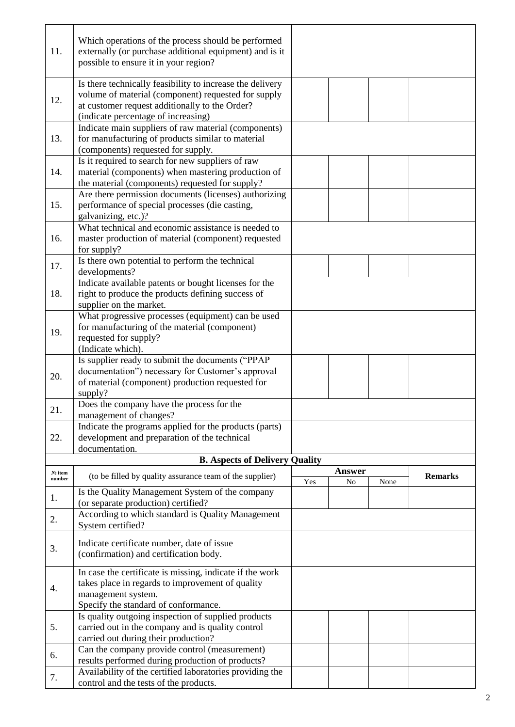| 11.                                   | Which operations of the process should be performed<br>externally (or purchase additional equipment) and is it<br>possible to ensure it in your region?                                                   |     |               |      |                |  |
|---------------------------------------|-----------------------------------------------------------------------------------------------------------------------------------------------------------------------------------------------------------|-----|---------------|------|----------------|--|
| 12.                                   | Is there technically feasibility to increase the delivery<br>volume of material (component) requested for supply<br>at customer request additionally to the Order?<br>(indicate percentage of increasing) |     |               |      |                |  |
| 13.                                   | Indicate main suppliers of raw material (components)<br>for manufacturing of products similar to material<br>(components) requested for supply.                                                           |     |               |      |                |  |
| 14.                                   | Is it required to search for new suppliers of raw<br>material (components) when mastering production of<br>the material (components) requested for supply?                                                |     |               |      |                |  |
| 15.                                   | Are there permission documents (licenses) authorizing<br>performance of special processes (die casting,<br>galvanizing, etc.)?                                                                            |     |               |      |                |  |
| 16.                                   | What technical and economic assistance is needed to<br>master production of material (component) requested<br>for supply?                                                                                 |     |               |      |                |  |
| 17.                                   | Is there own potential to perform the technical<br>developments?                                                                                                                                          |     |               |      |                |  |
| 18.                                   | Indicate available patents or bought licenses for the<br>right to produce the products defining success of<br>supplier on the market.                                                                     |     |               |      |                |  |
| 19.                                   | What progressive processes (equipment) can be used<br>for manufacturing of the material (component)<br>requested for supply?<br>(Indicate which).                                                         |     |               |      |                |  |
| 20.                                   | Is supplier ready to submit the documents ("PPAP<br>documentation") necessary for Customer's approval<br>of material (component) production requested for<br>supply?                                      |     |               |      |                |  |
| 21.                                   | Does the company have the process for the<br>management of changes?                                                                                                                                       |     |               |      |                |  |
| 22.                                   | Indicate the programs applied for the products (parts)<br>development and preparation of the technical<br>documentation.                                                                                  |     |               |      |                |  |
| <b>B. Aspects of Delivery Quality</b> |                                                                                                                                                                                                           |     |               |      |                |  |
| № item<br>number                      | (to be filled by quality assurance team of the supplier)                                                                                                                                                  |     | <b>Answer</b> |      | <b>Remarks</b> |  |
| 1.                                    | Is the Quality Management System of the company<br>(or separate production) certified?                                                                                                                    | Yes | No            | None |                |  |
| 2.                                    | According to which standard is Quality Management<br>System certified?                                                                                                                                    |     |               |      |                |  |
| 3.                                    | Indicate certificate number, date of issue<br>(confirmation) and certification body.                                                                                                                      |     |               |      |                |  |
| 4.                                    | In case the certificate is missing, indicate if the work<br>takes place in regards to improvement of quality<br>management system.<br>Specify the standard of conformance.                                |     |               |      |                |  |
| 5.                                    | Is quality outgoing inspection of supplied products<br>carried out in the company and is quality control<br>carried out during their production?                                                          |     |               |      |                |  |
| 6.                                    | Can the company provide control (measurement)<br>results performed during production of products?                                                                                                         |     |               |      |                |  |
| 7.                                    | Availability of the certified laboratories providing the<br>control and the tests of the products.                                                                                                        |     |               |      |                |  |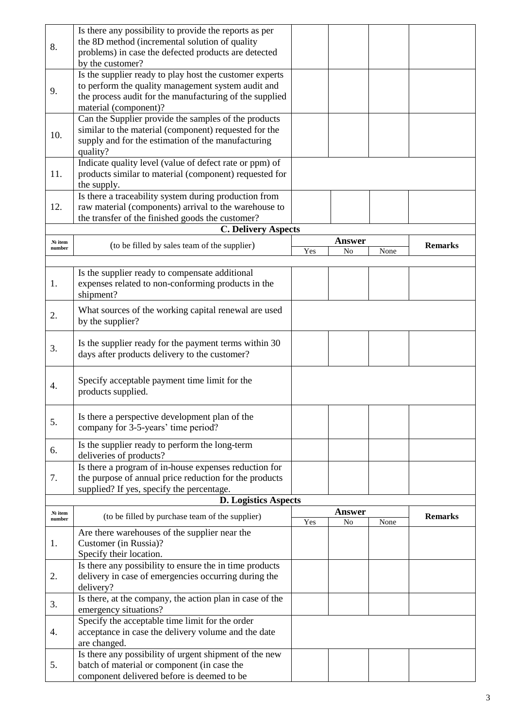| 8.                | Is there any possibility to provide the reports as per<br>the 8D method (incremental solution of quality<br>problems) in case the defected products are detected         |     |                     |      |                |
|-------------------|--------------------------------------------------------------------------------------------------------------------------------------------------------------------------|-----|---------------------|------|----------------|
|                   | by the customer?                                                                                                                                                         |     |                     |      |                |
| 9.                | Is the supplier ready to play host the customer experts<br>to perform the quality management system audit and<br>the process audit for the manufacturing of the supplied |     |                     |      |                |
|                   | material (component)?                                                                                                                                                    |     |                     |      |                |
| 10.               | Can the Supplier provide the samples of the products<br>similar to the material (component) requested for the<br>supply and for the estimation of the manufacturing      |     |                     |      |                |
|                   | quality?<br>Indicate quality level (value of defect rate or ppm) of                                                                                                      |     |                     |      |                |
| 11.               | products similar to material (component) requested for<br>the supply.                                                                                                    |     |                     |      |                |
| 12.               | Is there a traceability system during production from<br>raw material (components) arrival to the warehouse to<br>the transfer of the finished goods the customer?       |     |                     |      |                |
|                   | <b>C. Delivery Aspects</b>                                                                                                                                               |     |                     |      |                |
| No item<br>number | (to be filled by sales team of the supplier)                                                                                                                             |     | <b>Answer</b>       |      | <b>Remarks</b> |
|                   |                                                                                                                                                                          | Yes | N <sub>o</sub>      | None |                |
| 1.                | Is the supplier ready to compensate additional<br>expenses related to non-conforming products in the<br>shipment?                                                        |     |                     |      |                |
| 2.                | What sources of the working capital renewal are used<br>by the supplier?                                                                                                 |     |                     |      |                |
| 3.                | Is the supplier ready for the payment terms within 30<br>days after products delivery to the customer?                                                                   |     |                     |      |                |
| 4.                | Specify acceptable payment time limit for the<br>products supplied.                                                                                                      |     |                     |      |                |
| 5.                | Is there a perspective development plan of the<br>company for 3-5-years' time period?                                                                                    |     |                     |      |                |
| 6.                | Is the supplier ready to perform the long-term<br>deliveries of products?                                                                                                |     |                     |      |                |
| 7.                | Is there a program of in-house expenses reduction for<br>the purpose of annual price reduction for the products<br>supplied? If yes, specify the percentage.             |     |                     |      |                |
|                   | <b>D. Logistics Aspects</b>                                                                                                                                              |     |                     |      |                |
| No item<br>number | (to be filled by purchase team of the supplier)                                                                                                                          | Yes | <b>Answer</b><br>No | None | <b>Remarks</b> |
| 1.                | Are there warehouses of the supplier near the<br>Customer (in Russia)?                                                                                                   |     |                     |      |                |
|                   | Specify their location.<br>Is there any possibility to ensure the in time products                                                                                       |     |                     |      |                |
| 2.                | delivery in case of emergencies occurring during the<br>delivery?                                                                                                        |     |                     |      |                |
| 3.                | Is there, at the company, the action plan in case of the<br>emergency situations?                                                                                        |     |                     |      |                |
| 4.                | Specify the acceptable time limit for the order<br>acceptance in case the delivery volume and the date<br>are changed.                                                   |     |                     |      |                |
| 5.                | Is there any possibility of urgent shipment of the new<br>batch of material or component (in case the<br>component delivered before is deemed to be                      |     |                     |      |                |